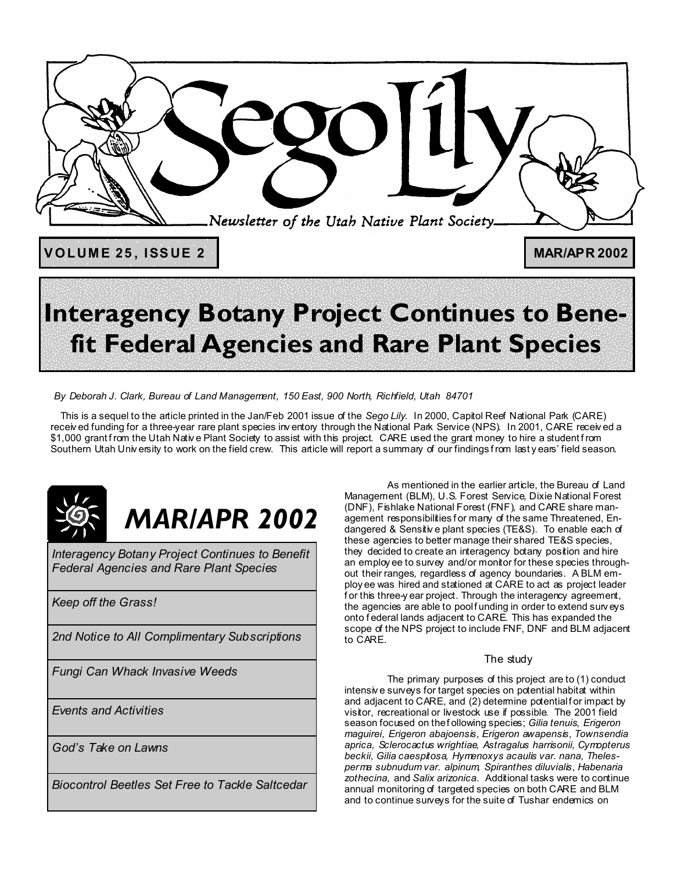

**VOLUME 25, ISSUE 2** 

**MAR/APR 2002**

# **Interagency Botany Project Continues to Benefit Federal Agencies and Rare Plant Species**

 *By Deborah J. Clark, Bureau of Land Management, 150 East, 900 North, Richfield, Utah 84701* 

 This is a sequel to the article printed in the Jan/Feb 2001 issue of the *Sego Lily*. In 2000, Capitol Reef National Park (CARE) received funding for a three-year rare plant species inv entory through the National Park Service (NPS). In 2001, CARE received a \$1,000 grant from the Utah Native Plant Society to assist with this project. CARE used the grant money to hire a student from Southern Utah Univ ersity to work on the field crew. This article will report a summary of our findings from last y ears' field season.



*Interagency Botany Project Continues to Benefit Federal Agencies and Rare Plant Species* 

*Keep off the Grass!* 

*2nd Notice to All Complimentary Subscriptions* 

*Fungi Can Whack Invasive Weeds* 

*Events and Activities* 

*Godís Take on Lawns* 

*Biocontrol Beetles Set Free to Tackle Saltcedar* 

 As mentioned in the earlier article, the Bureau of Land Management (BLM), U.S. Forest Service, Dixie National Forest (DNF), Fishlake National Forest (FNF), and CARE share management responsibilities for many of the same Threatened, Endangered & Sensitiv e plant species (TE&S). To enable each of these agencies to better manage their shared TE&S species, they decided to create an interagency botany position and hire an employ ee to survey and/or monitor for these species throughout their ranges, regardless of agency boundaries. A BLM employ ee was hired and stationed at CARE to act as project leader for this three-y ear project. Through the interagency agreement, the agencies are able to pool funding in order to extend surveys onto federal lands adjacent to CARE. This has expanded the scope of the NPS project to include FNF, DNF and BLM adjacent to CARE.

#### The study

The primary purposes of this project are to (1) conduct intensiv e surveys for target species on potential habitat within and adjacent to CARE, and (2) determine potential for impact by visitor, recreational or livestock use if possible. The 2001 field season focused on the f ollowing species; *Gilia tenuis*, *Erigeron maguirei*, *Erigeron abajoensis*, *Erigeron awapensis*, *Townsendia aprica, Sclerocactus wrightiae, Astragalus harrisonii, Cymopterus beckii, Gilia caespitosa, Hymenoxys acaulis var. nana, Thelesperma subnudum var. alpinum, Spiranthes diluvialis*, *Habenaria zothecina,* and *Salix arizonica*. Additional tasks were to continue annual monitoring of targeted species on both CARE and BLM and to continue surveys for the suite of Tushar endemics on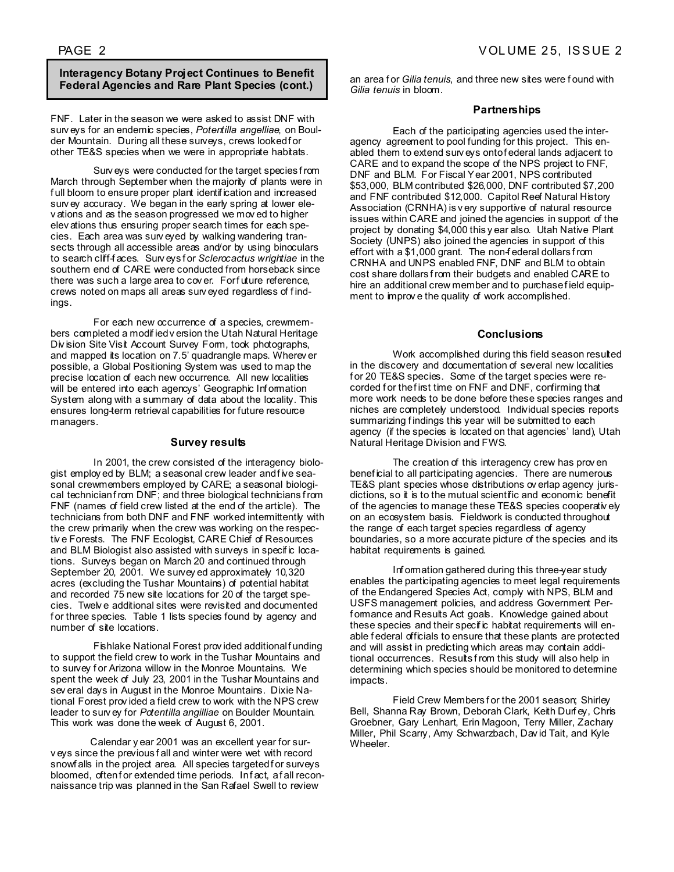#### **Interagency Botany Project Continues to Benefit Federal Agencies and Rare Plant Species (cont.)**

FNF. Later in the season we were asked to assist DNF with surv eys for an endemic species, *Potentilla angelliae*, on Boulder Mountain. During all these surveys, crews looked for other TE&S species when we were in appropriate habitats.

 Surv eys were conducted for the target species f rom March through September when the majority of plants were in f ull bloom to ensure proper plant identif ication and increased surv ey accuracy. We began in the early spring at lower elev ations and as the season progressed we mov ed to higher elev ations thus ensuring proper search times for each species. Each area was surv eyed by walking wandering transects through all accessible areas and/or by using binoculars to search cliff-f aces. Surv eys f or *Sclerocactus wrightiae* in the southern end of CARE were conducted from horseback since there was such a large area to cover. For future reference, crews noted on maps all areas surv eyed regardless of f indings.

 For each new occurrence of a species, crewmembers completed a modif ied v ersion the Utah Natural Heritage Div ision Site Visit Account Survey Form, took photographs, and mapped its location on 7.5í quadrangle maps. Wherev er possible, a Global Positioning System was used to map the precise location of each new occurrence. All new localities will be entered into each agencys' Geographic Information System along with a summary of data about the locality. This ensures long-term retrieval capabilities for future resource managers.

#### **Survey results**

 In 2001, the crew consisted of the interagency biologist employ ed by BLM; a seasonal crew leader and five seasonal crewmembers employed by CARE; a seasonal biological technician from DNF; and three biological technicians from FNF (names of field crew listed at the end of the article). The technicians from both DNF and FNF worked intermittently with the crew primarily when the crew was working on the respectiv e Forests. The FNF Ecologist, CARE Chief of Resources and BLM Biologist also assisted with surveys in specific locations. Surveys began on March 20 and continued through September 20, 2001. We survey ed approximately 10,320 acres (excluding the Tushar Mountains) of potential habitat and recorded 75 new site locations for 20 of the target species. Twelv e additional sites were revisited and documented for three species. Table 1 lists species found by agency and number of site locations.

 Fishlake National Forest prov ided additional f unding to support the field crew to work in the Tushar Mountains and to survey for Arizona willow in the Monroe Mountains. We spent the week of July 23, 2001 in the Tushar Mountains and sev eral days in August in the Monroe Mountains. Dixie National Forest prov ided a field crew to work with the NPS crew leader to surv ey for *Potentilla angilliae* on Boulder Mountain. This work was done the week of August 6, 2001.

Calendar y ear 2001 was an excellent year for surv eys since the previous f all and winter were wet with record snowf alls in the project area. All species targeted for surveys bloomed, often for extended time periods. In fact, a fall reconnaissance trip was planned in the San Rafael Swell to review

an area f or *Gilia tenuis*, and three new sites were f ound with *Gilia tenuis* in bloom.

#### **Partnerships**

Each of the participating agencies used the interagency agreement to pool funding for this project. This enabled them to extend surv eys onto federal lands adjacent to CARE and to expand the scope of the NPS project to FNF, DNF and BLM. For Fiscal Year 2001, NPS contributed \$53,000, BLM contributed \$26,000, DNF contributed \$7,200 and FNF contributed \$12,000. Capitol Reef Natural History Association (CRNHA) is v ery supportive of natural resource issues within CARE and joined the agencies in support of the project by donating \$4,000 this y ear also. Utah Native Plant Society (UNPS) also joined the agencies in support of this effort with a \$1,000 grant. The non-f ederal dollars f rom CRNHA and UNPS enabled FNF, DNF and BLM to obtain cost share dollars f rom their budgets and enabled CARE to hire an additional crew member and to purchase f ield equipment to improv e the quality of work accomplished.

#### **Conclusions**

Work accomplished during this field season resulted in the discovery and documentation of several new localities for 20 TE&S species. Some of the target species were recorded for the first time on FNF and DNF, confirming that more work needs to be done before these species ranges and niches are completely understood. Individual species reports summarizing findings this year will be submitted to each agency (if the species is located on that agencies' land), Utah Natural Heritage Division and FWS.

The creation of this interagency crew has prov en beneficial to all participating agencies. There are numerous TE&S plant species whose distributions ov erlap agency jurisdictions, so it is to the mutual scientific and economic benefit of the agencies to manage these TE&S species cooperativ ely on an ecosystem basis. Fieldwork is conducted throughout the range of each target species regardless of agency boundaries, so a more accurate picture of the species and its habitat requirements is gained.

Information gathered during this three-year study enables the participating agencies to meet legal requirements of the Endangered Species Act, comply with NPS, BLM and USFS management policies, and address Government Performance and Results Act goals. Knowledge gained about these species and their specific habitat requirements will enable f ederal officials to ensure that these plants are protected and will assist in predicting which areas may contain additional occurrences. Results from this study will also help in determining which species should be monitored to determine impacts.

Field Crew Members f or the 2001 season; Shirley Bell, Shanna Ray Brown, Deborah Clark, Keith Durf ey, Chris Groebner, Gary Lenhart, Erin Magoon, Terry Miller, Zachary Miller, Phil Scarry, Amy Schwarzbach, Dav id Tait, and Kyle Wheeler.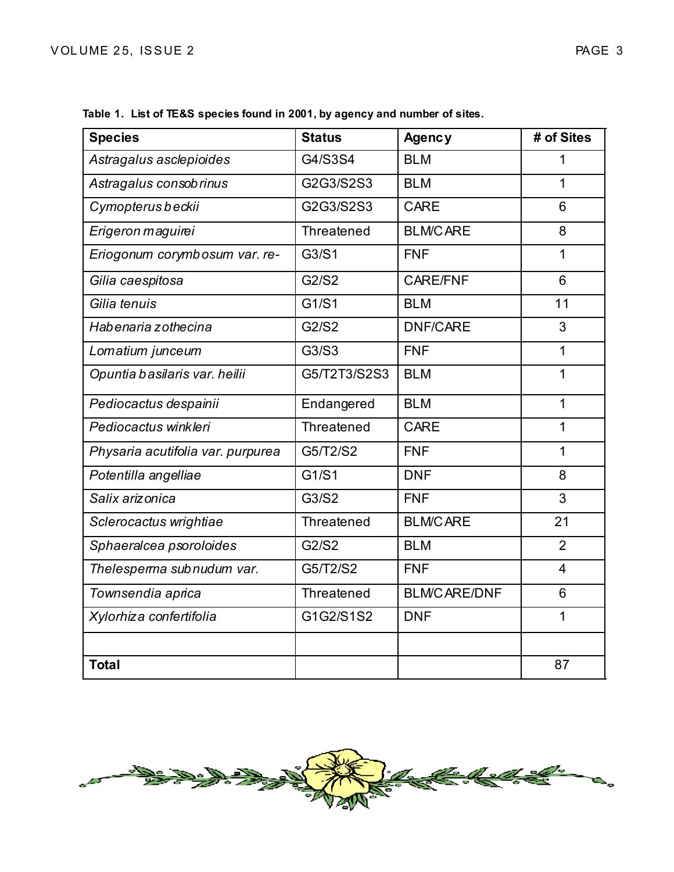| <b>Species</b>                    | <b>Status</b> | Agency              | # of Sites     |
|-----------------------------------|---------------|---------------------|----------------|
| Astragalus asclepioides           | G4/S3S4       | <b>BLM</b>          | 1              |
| Astragalus consobrinus            | G2G3/S2S3     | <b>BLM</b>          | $\mathbf 1$    |
| Cymopterus beckii                 | G2G3/S2S3     | <b>CARE</b>         | 6              |
| Erigeron maguirei                 | Threatened    | <b>BLM/CARE</b>     | 8              |
| Eriogonum corymbosum var. re-     | G3/S1         | <b>FNF</b>          | $\mathbf 1$    |
| Gilia caespitosa                  | G2/S2         | <b>CARE/FNF</b>     | 6              |
| Gilia tenuis                      | G1/S1         | <b>BLM</b>          | 11             |
| Habenaria zothecina               | G2/S2         | <b>DNF/CARE</b>     | 3              |
| Lomatium junceum                  | G3/S3         | <b>FNF</b>          | $\mathbf{1}$   |
| Opuntia basilaris var. heilii     | G5/T2T3/S2S3  | <b>BLM</b>          | 1              |
| Pediocactus despainii             | Endangered    | <b>BLM</b>          | $\mathbf{1}$   |
| Pediocactus winkleri              | Threatened    | <b>CARE</b>         | $\mathbf{1}$   |
| Physaria acutifolia var. purpurea | G5/T2/S2      | <b>FNF</b>          | $\mathbf{1}$   |
| Potentilla angelliae              | G1/S1         | <b>DNF</b>          | 8              |
| Salix arizonica                   | G3/S2         | <b>FNF</b>          | 3              |
| Sclerocactus wrightiae            | Threatened    | <b>BLM/CARE</b>     | 21             |
| Sphaeralcea psoroloides           | G2/S2         | <b>BLM</b>          | $\overline{2}$ |
| Thelesperma sub nudum var.        | G5/T2/S2      | <b>FNF</b>          | $\overline{4}$ |
| Townsendia aprica                 | Threatened    | <b>BLM/CARE/DNF</b> | 6              |
| Xylorhiza confertifolia           | G1G2/S1S2     | <b>DNF</b>          | $\mathbf 1$    |
|                                   |               |                     |                |
| <b>Total</b>                      |               |                     | 87             |

**Table 1. List of TE&S species found in 2001, by agency and number of sites.**

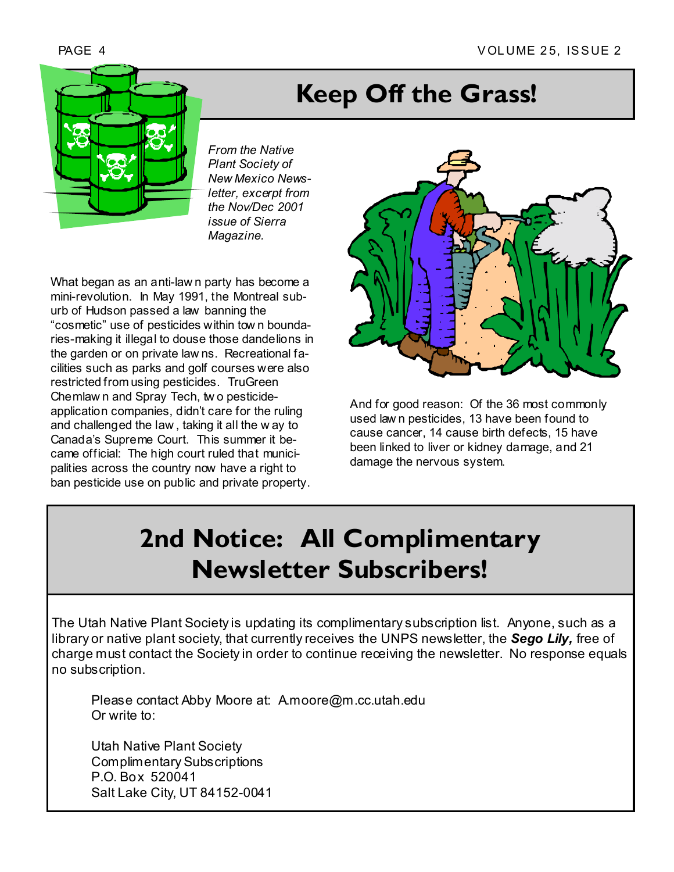

*From the Native Plant Society of New Mexico Newsletter, excerpt from the Nov/Dec 2001 issue of Sierra Magazine.* 

What began as an anti-law n party has become a mini-revolution. In May 1991, the Montreal suburb of Hudson passed a law banning the ìcosmeticî use of pesticides within tow n boundaries-making it illegal to douse those dandelions in the garden or on private law ns. Recreational facilities such as parks and golf courses were also restricted from using pesticides. TruGreen Chemlaw n and Spray Tech, tw o pesticideapplication companies, didn't care for the ruling and challenged the law , taking it all the w ay to Canadaís Supreme Court. This summer it became official: The high court ruled that municipalities across the country now have a right to ban pesticide use on public and private property.



**Keep Off the Grass!** 

And for good reason: Of the 36 most commonly used law n pesticides, 13 have been found to cause cancer, 14 cause birth defects, 15 have been linked to liver or kidney damage, and 21 damage the nervous system.

# **2nd Notice: All Complimentary Newsletter Subscribers!**

The Utah Native Plant Society is updating its complimentary subscription list. Anyone, such as a library or native plant society, that currently receives the UNPS newsletter, the *Sego Lily,* free of charge must contact the Society in order to continue receiving the newsletter. No response equals no subscription.

 Please contact Abby Moore at: A.moore@m.cc.utah.edu Or write to:

 Utah Native Plant Society Complimentary Subscriptions P.O. Box 520041 Salt Lake City, UT 84152-0041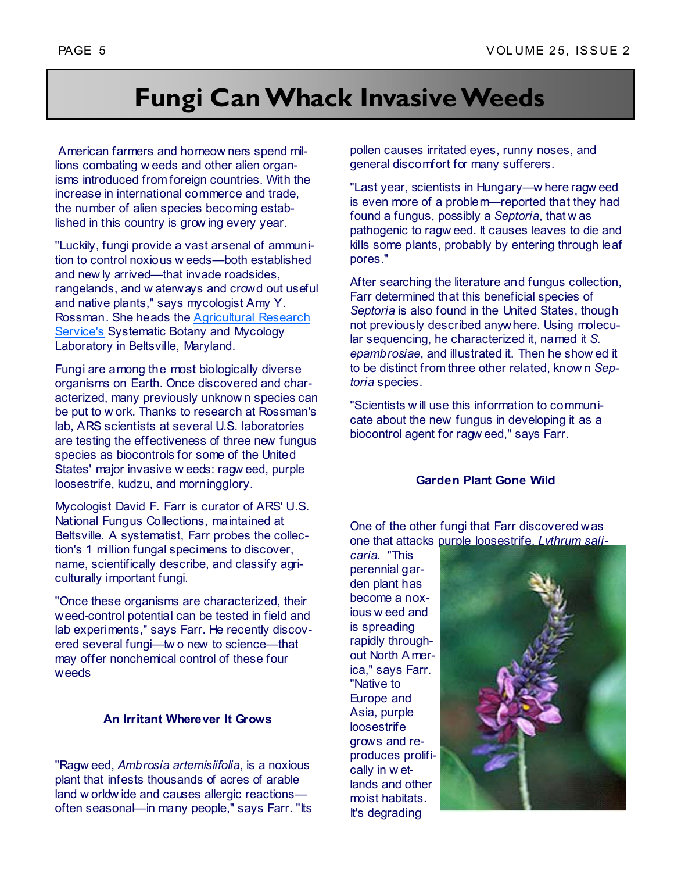## **Fungi Can Whack Invasive Weeds**

American farmers and homeow ners spend millions combating w eeds and other alien organisms introduced from foreign countries. With the increase in international commerce and trade, the number of alien species becoming established in this country is grow ing every year.

"Luckily, fungi provide a vast arsenal of ammunition to control noxious w eeds—both established and new ly arrived—that invade roadsides, rangelands, and w aterways and crowd out useful and native plants," says mycologist Amy Y. Rossman. She heads the Agricultural Research Service's Systematic Botany and Mycology Laboratory in Beltsville, Maryland.

Fungi are among the most biologically diverse organisms on Earth. Once discovered and characterized, many previously unknow n species can be put to w ork. Thanks to research at Rossman's lab, ARS scientists at several U.S. laboratories are testing the effectiveness of three new fungus species as biocontrols for some of the United States' major invasive w eeds: ragw eed, purple loosestrife, kudzu, and morningglory.

Mycologist David F. Farr is curator of ARS' U.S. National Fungus Collections, maintained at Beltsville. A systematist, Farr probes the collection's 1 million fungal specimens to discover, name, scientifically describe, and classify agriculturally important fungi.

"Once these organisms are characterized, their weed-control potential can be tested in field and lab experiments," says Farr. He recently discovered several fungi-two new to science-that may offer nonchemical control of these four weeds

#### **An Irritant Wherever It Grows**

"Ragw eed, *Ambrosia artemisiifolia*, is a noxious plant that infests thousands of acres of arable land w orldw ide and causes allergic reactionsoften seasonal—in many people," says Farr. "Its pollen causes irritated eyes, runny noses, and general discomfort for many sufferers.

"Last year, scientists in Hungary—w here ragw eed is even more of a problem—reported that they had found a fungus, possibly a *Septoria*, that w as pathogenic to ragw eed. It causes leaves to die and kills some plants, probably by entering through leaf pores."

After searching the literature and fungus collection, Farr determined that this beneficial species of *Septoria* is also found in the United States, though not previously described anywhere. Using molecular sequencing, he characterized it, named it *S. epambrosiae*, and illustrated it. Then he show ed it to be distinct from three other related, know n *Septoria* species.

"Scientists w ill use this information to communicate about the new fungus in developing it as a biocontrol agent for ragw eed," says Farr.

#### **Garden Plant Gone Wild**

One of the other fungi that Farr discovered was one that attacks purple loosestrife, *Lythrum sali-*

*caria.* "This perennial garden plant has become a noxious w eed and is spreading rapidly throughout North A merica," says Farr. "Native to Europe and Asia, purple loosestrife grows and reproduces prolifically in w etlands and other moist habitats. It's degrading

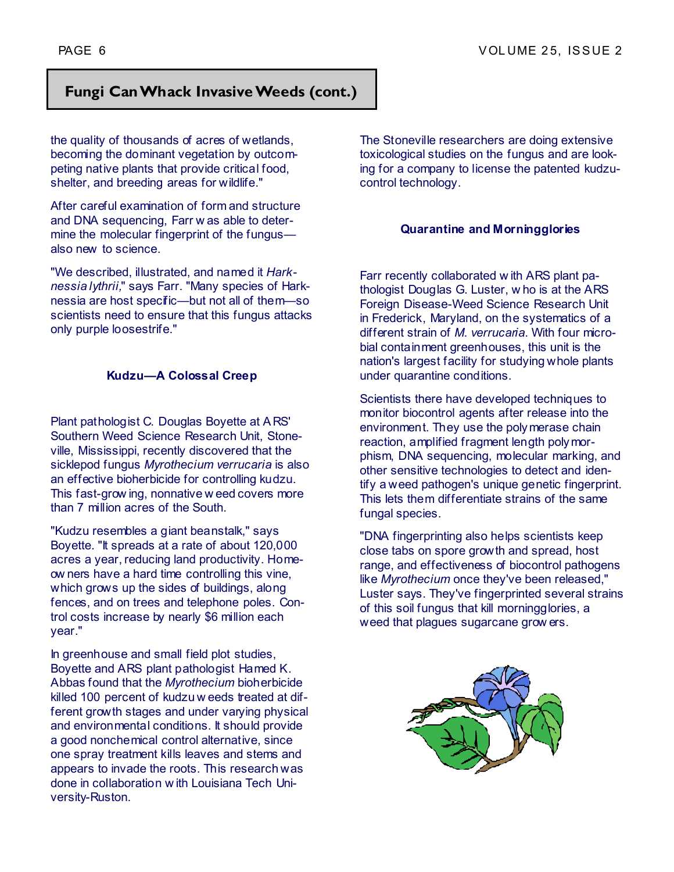#### **Fungi Can Whack Invasive Weeds (cont.)**

the quality of thousands of acres of wetlands, becoming the dominant vegetation by outcompeting native plants that provide critical food, shelter, and breeding areas for wildlife."

After careful examination of form and structure and DNA sequencing, Farr w as able to determine the molecular fingerprint of the fungusalso new to science.

"We described, illustrated, and named it *Harknessia lythrii,*" says Farr. "Many species of Harknessia are host specific-but not all of them-so scientists need to ensure that this fungus attacks only purple loosestrife."

#### **Kudzu-A Colossal Creep**

Plant pathologist C. Douglas Boyette at A RS' Southern Weed Science Research Unit, Stoneville, Mississippi, recently discovered that the sicklepod fungus *Myrothecium verrucaria* is also an effective bioherbicide for controlling kudzu. This fast-grow ing, nonnative w eed covers more than 7 million acres of the South.

"Kudzu resembles a giant beanstalk," says Boyette. "It spreads at a rate of about 120,000 acres a year, reducing land productivity. Homeow ners have a hard time controlling this vine, which grows up the sides of buildings, along fences, and on trees and telephone poles. Control costs increase by nearly \$6 million each year."

In greenhouse and small field plot studies, Boyette and ARS plant pathologist Hamed K. Abbas found that the *Myrothecium* bioherbicide killed 100 percent of kudzu w eeds treated at different growth stages and under varying physical and environmental conditions. It should provide a good nonchemical control alternative, since one spray treatment kills leaves and stems and appears to invade the roots. This research was done in collaboration w ith Louisiana Tech University-Ruston.

The Stoneville researchers are doing extensive toxicological studies on the fungus and are looking for a company to license the patented kudzucontrol technology.

#### **Quarantine and Morningglories**

Farr recently collaborated w ith ARS plant pathologist Douglas G. Luster, w ho is at the ARS Foreign Disease-Weed Science Research Unit in Frederick, Maryland, on the systematics of a different strain of *M. verrucaria*. With four microbial containment greenhouses, this unit is the nation's largest facility for studying whole plants under quarantine conditions.

Scientists there have developed techniques to monitor biocontrol agents after release into the environment. They use the polymerase chain reaction, amplified fragment length polymorphism, DNA sequencing, molecular marking, and other sensitive technologies to detect and identify a weed pathogen's unique genetic fingerprint. This lets them differentiate strains of the same fungal species.

"DNA fingerprinting also helps scientists keep close tabs on spore growth and spread, host range, and effectiveness of biocontrol pathogens like *Myrothecium* once they've been released," Luster says. They've fingerprinted several strains of this soil fungus that kill morningglories, a weed that plagues sugarcane grow ers.

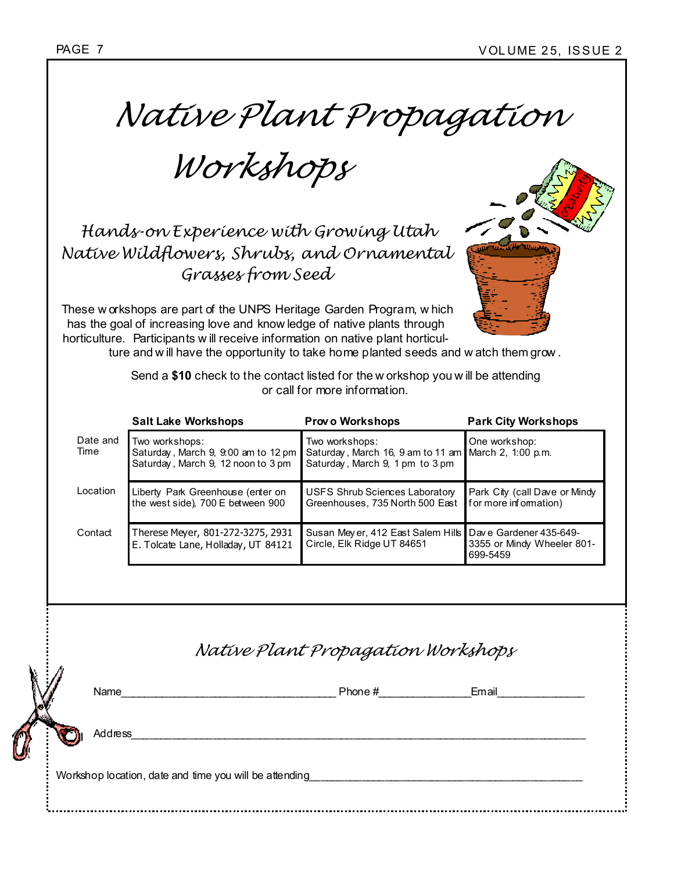Native Plant Propagation Workshops Hands-on Experience with Growing Utah Native Wildflowers, Shrubs, and Ornamental Grasses from Seed These w orkshops are part of the UNPS Heritage Garden Program, w hich has the goal of increasing love and know ledge of native plants through horticulture. Participants w ill receive information on native plant horticulture and w ill have the opportunity to take home planted seeds and w atch them grow . Send a **\$10** check to the contact listed for the w orkshop you w ill be attending or call for more information. **Salt Lake Workshops Prov o Workshops Park City Workshops**  Date and Time Two workshops: Saturday , March 9, 9:00 am to 12 pm Saturday , March 9, 12 noon to 3 pm Two workshops: Saturday , March 16, 9 am to 11 am Saturday , March 9, 1 pm to 3 pm One workshop: March 2, 1:00 p.m. Location Liberty Park Greenhouse (enter on the west side), 700 E between 900 USFS Shrub Sciences Laboratory Greenhouses, 735 North 500 East Park City (call Dave or Mindy f or more information) Contact Therese Meyer, 801-272-3275, 2931 E. Tolcate Lane, Holladay, UT 84121 Susan Mey er, 412 East Salem Hills Circle, Elk Ridge UT 84651 Dav e Gardener 435-649- 3355 or Mindy Wheeler 801- 699-5459

Native Plant Propagation Workshops

Name the contract of the contract of the Phone # The Email Email

Address\_\_\_\_\_\_\_\_\_\_\_\_\_\_\_\_\_\_\_\_\_\_\_\_\_\_\_\_\_\_\_\_\_\_\_\_\_\_\_\_\_\_\_\_\_\_\_\_\_\_\_\_\_\_\_\_\_\_\_\_\_\_\_\_\_\_\_\_\_\_\_\_\_\_\_\_\_\_

Workshop location, date and time you will be attending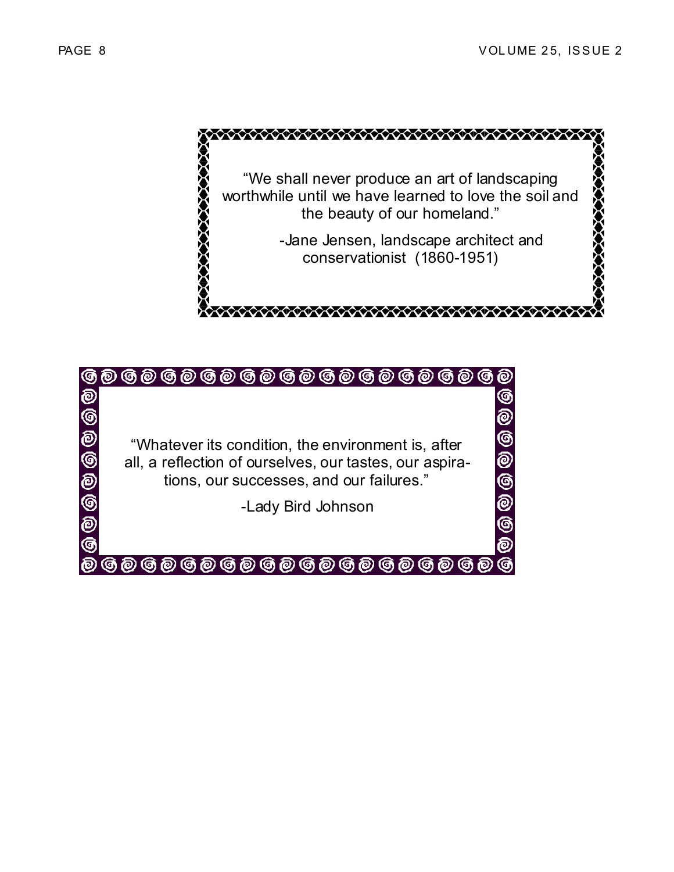**ARAZAZAZAZAZAZAZ** 



"We shall never produce an art of landscaping worthwhile until we have learned to love the soil and the beauty of our homeland."

> -Jane Jensen, landscape architect and conservationist (1860-1951)

00000000000000000000000

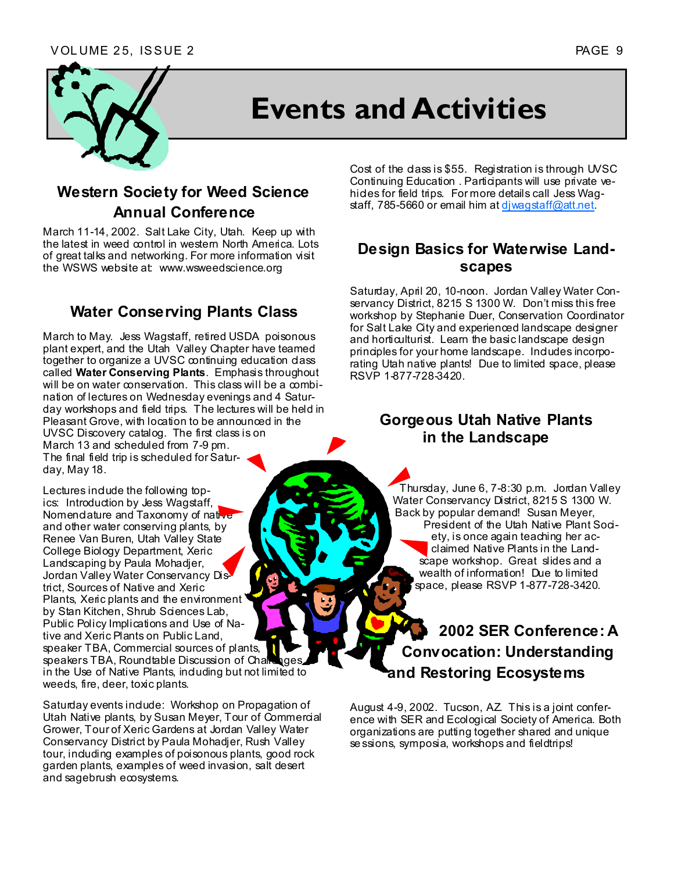

# **Events and Activities**

### **Western Society for Weed Science Annual Conference**

March 11-14, 2002. Salt Lake City, Utah. Keep up with the latest in weed control in western North America. Lots of great talks and networking. For more information visit the WSWS website at: www.wsweedscience.org

### **Water Conserving Plants Class**

March to May. Jess Wagstaff, retired USDA poisonous plant expert, and the Utah Valley Chapter have teamed together to organize a UVSC continuing education dass called **Water Conserving Plants**. Emphasis throughout will be on water conservation. This class will be a combination of lectures on Wednesday evenings and 4 Saturday workshops and field trips. The lectures will be held in Pleasant Grove, with location to be announced in the UVSC Discovery catalog. The first class is on March 13 and scheduled from 7-9 pm. The final field trip is scheduled for Saturday, May 18.

Lectures indude the following topics: Introduction by Jess Wagstaff, Nomendature and Taxonomy of native and other water conserving plants, by Renee Van Buren, Utah Valley State College Biology Department, Xeric Landscaping by Paula Mohadjer, Jordan Valley Water Conservancy District, Sources of Native and Xeric Plants, Xeric plants and the environment by Stan Kitchen, Shrub Sciences Lab, Public Policy Implications and Use of Native and Xeric Plants on Public Land, speaker TBA, Commercial sources of plants, speakers TBA, Roundtable Discussion of Challenges in the Use of Native Plants, induding but not limited to weeds, fire, deer, toxic plants.

Saturday events indude: Workshop on Propagation of Utah Native plants, by Susan Meyer, Tour of Commercial Grower, Tour of Xeric Gardens at Jordan Valley Water Conservancy District by Paula Mohadjer, Rush Valley tour, induding examples of poisonous plants, good rock garden plants, examples of weed invasion, salt desert and sagebrush ecosystems.

Cost of the class is \$55. Registration is through UVSC Continuing Education . Participants will use private vehides for field trips. For more details call Jess Wagstaff, 785-5660 or email him at diwagstaff@att.net.

#### **Design Basics for Waterwise Landscapes**

Saturday, April 20, 10-noon. Jordan Valley Water Conservancy District, 8215 S 1300 W. Don't miss this free workshop by Stephanie Duer, Conservation Coordinator for Salt Lake City and experienced landscape designer and horticulturist. Learn the basic landscape design principles for your home landscape. Indudes incorporating Utah native plants! Due to limited space, please RSVP 1-877-728-3420.

#### **Gorgeous Utah Native Plants in the Landscape**

Thursday, June 6, 7-8:30 p.m. Jordan Valley Water Conservancy District, 8215 S 1300 W. Back by popular demand! Susan Meyer, President of the Utah Native Plant Society, is once again teaching her acclaimed Native Plants in the Landscape workshop. Great slides and a wealth of information! Due to limited space, please RSVP 1-877-728-3420.

### **2002 SER Conference: A Convocation: Understanding and Restoring Ecosystems**

August 4-9, 2002. Tucson, AZ. This is a joint conference with SER and Ecological Society of America. Both organizations are putting together shared and unique se ssions, symposia, workshops and fieldtrips!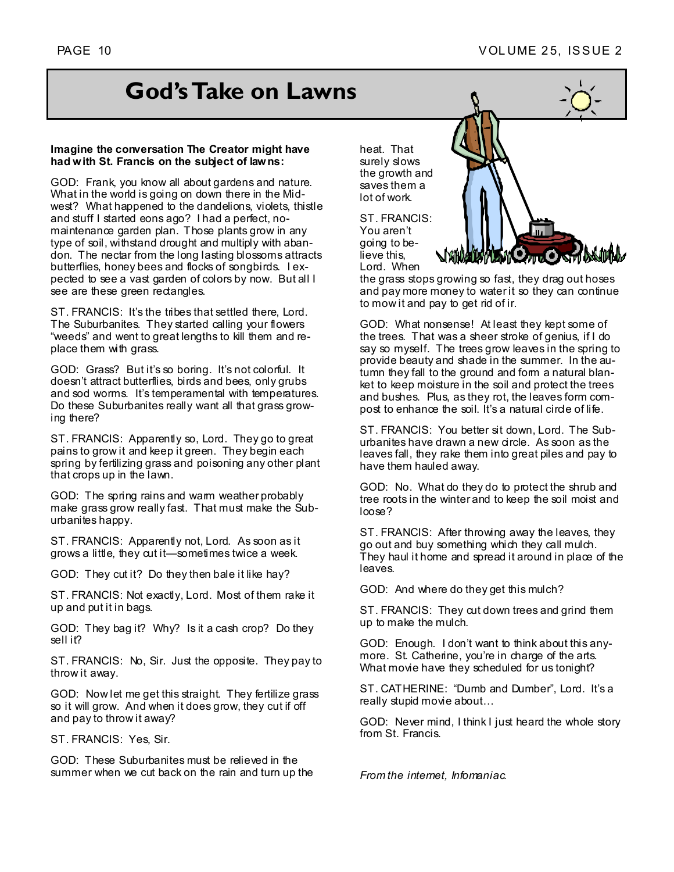### **Godís Take on Lawns**

#### **Imagine the conversation The Creator might have had with St. Francis on the subject of lawns:**

GOD: Frank, you know all about gardens and nature. What in the world is going on down there in the Midwest? What happened to the dandelions, violets, thistle and stuff I started eons ago? I had a perfect, nomaintenance garden plan. Those plants grow in any type of soil, withstand drought and multiply with abandon. The nectar from the long lasting blossoms attracts butterflies, honey bees and flocks of songbirds. I expected to see a vast garden of colors by now. But all I see are these green rectangles.

ST. FRANCIS: Itís the tribes that settled there, Lord. The Suburbanites. They started calling your flowers ìweedsî and went to great lengths to kill them and replace them with grass.

GOD: Grass? But it's so boring. It's not colorful. It doesn't attract butterflies, birds and bees, only grubs and sod worms. It's temperamental with temperatures. Do these Suburbanites really want all that grass growing there?

ST. FRANCIS: Apparently so, Lord. They go to great pains to grow it and keep it green. They begin each spring by fertilizing grass and poisoning any other plant that crops up in the lawn.

GOD: The spring rains and warm weather probably make grass grow really fast. That must make the Suburbanites happy.

ST. FRANCIS: Apparently not, Lord. As soon as it grows a little, they cut it—sometimes twice a week.

GOD: They cut it? Do they then bale it like hay?

ST. FRANCIS: Not exactly, Lord. Most of them rake it up and put it in bags.

GOD: They bag it? Why? Is it a cash crop? Do they sell it?

ST. FRANCIS: No, Sir. Just the opposite. They pay to throw it away.

GOD: Now let me get this straight. They fertilize grass so it will grow. And when it does grow, they cut if off and pay to throw it away?

ST. FRANCIS: Yes, Sir.

GOD: These Suburbanites must be relieved in the summer when we cut back on the rain and turn up the heat. That surely slows the growth and saves them a lot of work.

ST. FRANCIS: You aren't going to believe this, Lord. When



the grass stops growing so fast, they drag out hoses and pay more money to water it so they can continue to mow it and pay to get rid of ir.

GOD: What nonsense! At least they kept some of the trees. That was a sheer stroke of genius, if I do say so myself. The trees grow leaves in the spring to provide beauty and shade in the summer. In the autumn they fall to the ground and form a natural blanket to keep moisture in the soil and protect the trees and bushes. Plus, as they rot, the leaves form compost to enhance the soil. It's a natural circle of life.

ST. FRANCIS: You better sit down, Lord. The Suburbanites have drawn a new circle. As soon as the leaves fall, they rake them into great piles and pay to have them hauled away.

GOD: No. What do they do to protect the shrub and tree roots in the winter and to keep the soil moist and loose?

ST. FRANCIS: After throwing away the leaves, they go out and buy something which they call mulch. They haul it home and spread it around in place of the leaves.

GOD: And where do they get this mulch?

ST. FRANCIS: They cut down trees and grind them up to make the mulch.

GOD: Enough. I don't want to think about this anymore. St. Catherine, you're in charge of the arts. What movie have they scheduled for us tonight?

ST. CATHERINE: "Dumb and Dumber", Lord. It's a really stupid movie about...

GOD: Never mind, I think I just heard the whole story from St. Francis.

*From the internet, Infomaniac.*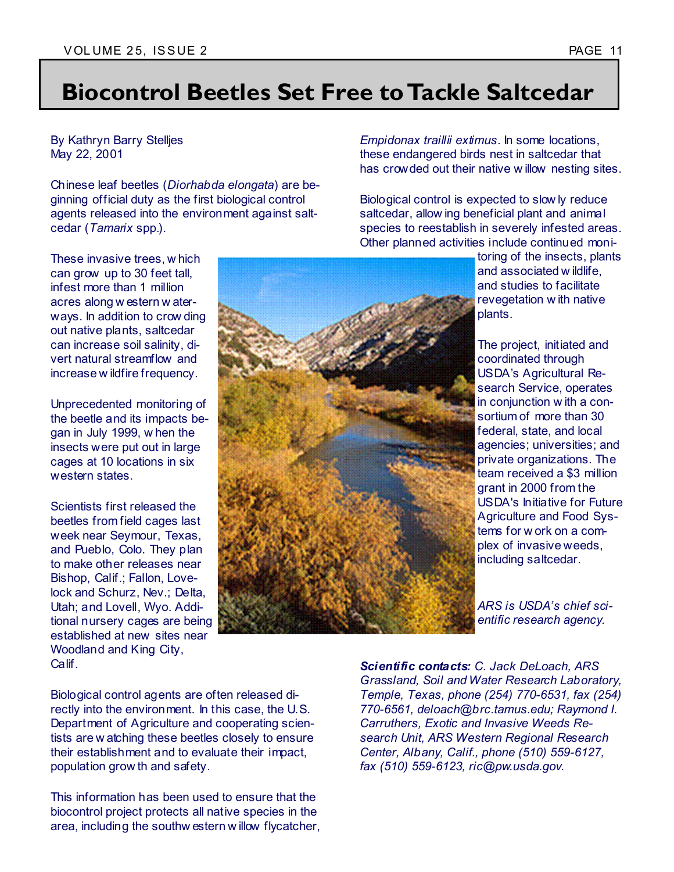## **Biocontrol Beetles Set Free to Tackle Saltcedar**

#### By Kathryn Barry Stelljes May 22, 2001

Chinese leaf beetles (*Diorhabda elongata*) are beginning official duty as the first biological control agents released into the environment against saltcedar (*Tamarix* spp.).

*Empidonax traillii extimus*. In some locations, these endangered birds nest in saltcedar that has crowded out their native w illow nesting sites.

Biological control is expected to slow ly reduce saltcedar, allow ing beneficial plant and animal species to reestablish in severely infested areas. Other planned activities include continued moni-

These invasive trees, w hich can grow up to 30 feet tall, infest more than 1 million acres along w estern w aterways. In addition to crow ding out native plants, saltcedar can increase soil salinity, divert natural streamflow and increase w ildfire frequency.

Unprecedented monitoring of the beetle and its impacts began in July 1999, w hen the insects were put out in large cages at 10 locations in six western states.

Scientists first released the beetles from field cages last week near Seymour, Texas, and Pueblo, Colo. They plan to make other releases near Bishop, Calif.; Fallon, Lovelock and Schurz, Nev.; Delta, Utah; and Lovell, Wyo. Additional nursery cages are being established at new sites near Woodland and King City, Calif.

toring of the insects, plants and associated w ildlife, and studies to facilitate revegetation w ith native plants.

The project, initiated and coordinated through USDAís Agricultural Research Service, operates in conjunction w ith a consortium of more than 30 federal, state, and local agencies; universities; and private organizations. The team received a \$3 million grant in 2000 from the USDA's Initiative for Future Agriculture and Food Systems for w ork on a complex of invasive weeds, including saltcedar.

*ARS is USDAís chief scientific research agency.* 

Biological control agents are often released directly into the environment. In this case, the U.S. Department of Agriculture and cooperating scientists are w atching these beetles closely to ensure their establishment and to evaluate their impact, population grow th and safety.

This information has been used to ensure that the biocontrol project protects all native species in the area, including the southw estern w illow flycatcher,

*Scientific contacts: C. Jack DeLoach, ARS Grassland, Soil and Water Research Laboratory, Temple, Texas, phone (254) 770-6531, fax (254) 770-6561, deloach@brc.tamus.edu; Raymond I. Carruthers, Exotic and Invasive Weeds Research Unit, ARS Western Regional Research Center, Albany, Calif., phone (510) 559-6127, fax (510) 559-6123, ric@pw.usda.gov.*